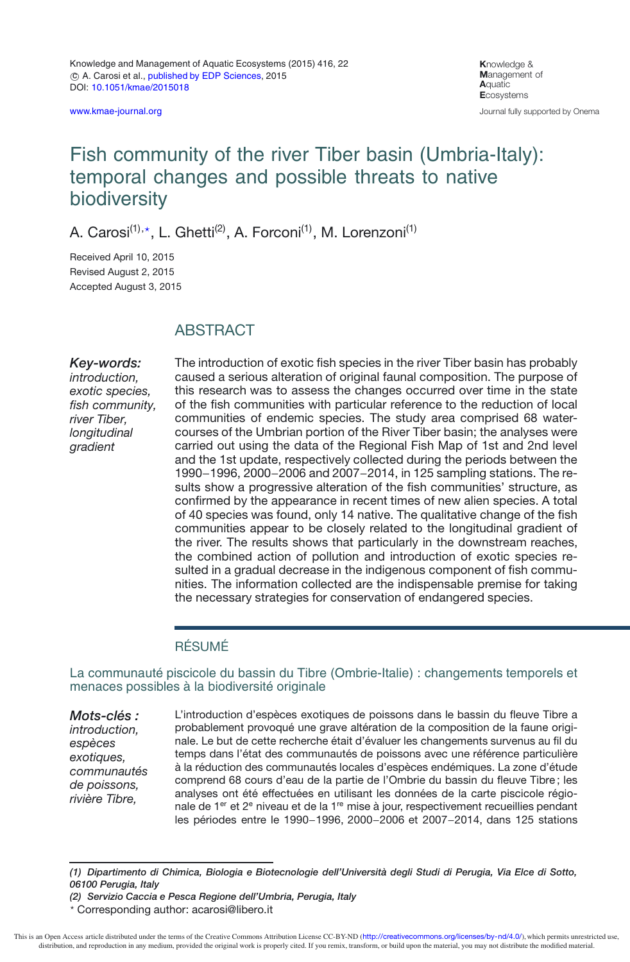[www.kmae-journal.org](http://www.kmae-journal.org)

**K**nowledge & **M**anagement of **A**quatic **E**cosystems Journal fully supported by Onema

# Fish community of the river Tiber basin (Umbria-Italy): temporal changes and possible threats to native biodiversity

A. Carosi<sup>(1),</sup>\*, L. Ghetti<sup>(2)</sup>, A. Forconi<sup>(1)</sup>, M. Lorenzoni<sup>(1)</sup>

Received April 10, 2015 Revised August 2, 2015 Accepted August 3, 2015

## **ABSTRACT**

*Key-words: introduction, exotic species, fish community, river Tiber, longitudinal gradient*

The introduction of exotic fish species in the river Tiber basin has probably caused a serious alteration of original faunal composition. The purpose of this research was to assess the changes occurred over time in the state of the fish communities with particular reference to the reduction of local communities of endemic species. The study area comprised 68 watercourses of the Umbrian portion of the River Tiber basin; the analyses were carried out using the data of the Regional Fish Map of 1st and 2nd level and the 1st update, respectively collected during the periods between the 1990−1996, 2000−2006 and 2007−2014, in 125 sampling stations. The results show a progressive alteration of the fish communities' structure, as confirmed by the appearance in recent times of new alien species. A total of 40 species was found, only 14 native. The qualitative change of the fish communities appear to be closely related to the longitudinal gradient of the river. The results shows that particularly in the downstream reaches, the combined action of pollution and introduction of exotic species resulted in a gradual decrease in the indigenous component of fish communities. The information collected are the indispensable premise for taking the necessary strategies for conservation of endangered species.

### RÉSUMÉ

#### La communauté piscicole du bassin du Tibre (Ombrie-Italie) : changements temporels et menaces possibles à la biodiversité originale

*Mots-clés : introduction, espèces exotiques, communautés de poissons, rivière Tibre,*

L'introduction d'espèces exotiques de poissons dans le bassin du fleuve Tibre a probablement provoqué une grave altération de la composition de la faune originale. Le but de cette recherche était d'évaluer les changements survenus au fil du temps dans l'état des communautés de poissons avec une référence particulière à la réduction des communautés locales d'espèces endémiques. La zone d'étude comprend 68 cours d'eau de la partie de l'Ombrie du bassin du fleuve Tibre ; les analyses ont été effectuées en utilisant les données de la carte piscicole régionale de 1<sup>er</sup> et 2<sup>e</sup> niveau et de la 1<sup>re</sup> mise à jour, respectivement recueillies pendant les périodes entre le 1990−1996, 2000−2006 et 2007−2014, dans 125 stations

*(1) Dipartimento di Chimica, Biologia e Biotecnologie dell'Università degli Studi di Perugia, Via Elce di Sotto, 06100 Perugia, Italy*

*(2) Servizio Caccia e Pesca Regione dell'Umbria, Perugia, Italy*

<sup>-</sup> Corresponding author: acarosi@libero.it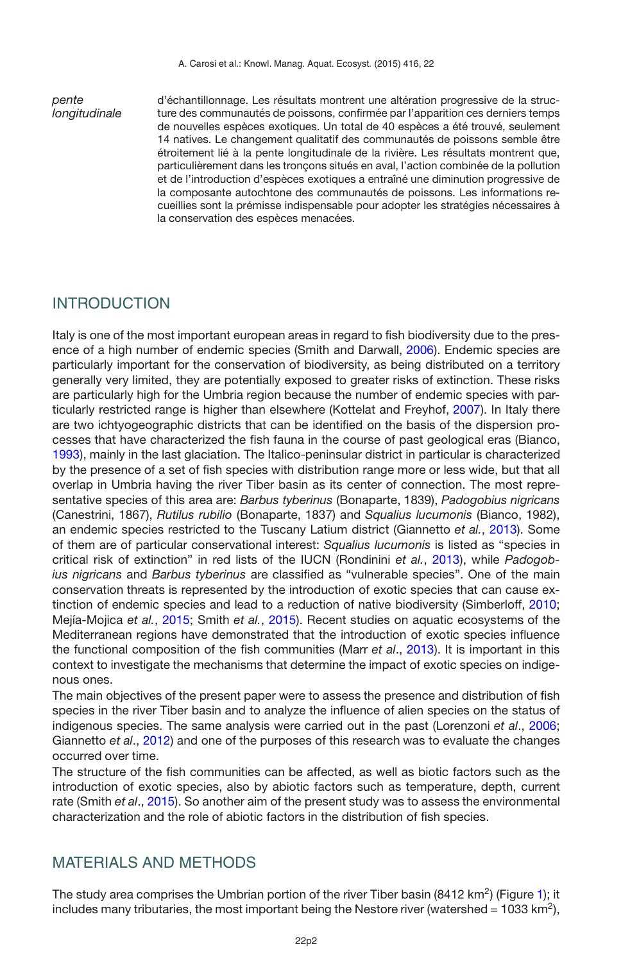*pente longitudinale* d'échantillonnage. Les résultats montrent une altération progressive de la structure des communautés de poissons, confirmée par l'apparition ces derniers temps de nouvelles espèces exotiques. Un total de 40 espèces a été trouvé, seulement 14 natives. Le changement qualitatif des communautés de poissons semble être étroitement lié à la pente longitudinale de la rivière. Les résultats montrent que, particulièrement dans les tronçons situés en aval, l'action combinée de la pollution et de l'introduction d'espèces exotiques a entraîné une diminution progressive de la composante autochtone des communautés de poissons. Les informations recueillies sont la prémisse indispensable pour adopter les stratégies nécessaires à la conservation des espèces menacées.

## INTRODUCTION

Italy is one of the most important european areas in regard to fish biodiversity due to the presence of a high number of endemic species (Smith and Darwall, [2006](#page-15-0)). Endemic species are particularly important for the conservation of biodiversity, as being distributed on a territory generally very limited, they are potentially exposed to greater risks of extinction. These risks are particularly high for the Umbria region because the number of endemic species with particularly restricted range is higher than elsewhere (Kottelat and Freyhof, [2007](#page-14-0)). In Italy there are two ichtyogeographic districts that can be identified on the basis of the dispersion processes that have characterized the fish fauna in the course of past geological eras (Bianco, [1993\)](#page-14-1), mainly in the last glaciation. The Italico-peninsular district in particular is characterized by the presence of a set of fish species with distribution range more or less wide, but that all overlap in Umbria having the river Tiber basin as its center of connection. The most representative species of this area are: *Barbus tyberinus* (Bonaparte, 1839), *Padogobius nigricans* (Canestrini, 1867), *Rutilus rubilio* (Bonaparte, 1837) and *Squalius lucumonis* (Bianco, 1982), an endemic species restricted to the Tuscany Latium district (Giannetto *et al.*, [2013\)](#page-14-2). Some of them are of particular conservational interest: *Squalius lucumonis* is listed as "species in critical risk of extinction" in red lists of the IUCN (Rondinini *et al.*, [2013](#page-15-1)), while *Padogobius nigricans* and *Barbus tyberinus* are classified as "vulnerable species". One of the main conservation threats is represented by the introduction of exotic species that can cause extinction of endemic species and lead to a reduction of native biodiversity (Simberloff, [2010;](#page-15-2) Mejía-Mojica *et al.*, [2015;](#page-14-3) Smith *et al.*, [2015\)](#page-15-3). Recent studies on aquatic ecosystems of the Mediterranean regions have demonstrated that the introduction of exotic species influence the functional composition of the fish communities (Marr *et al*., [2013\)](#page-14-4). It is important in this context to investigate the mechanisms that determine the impact of exotic species on indigenous ones.

The main objectives of the present paper were to assess the presence and distribution of fish species in the river Tiber basin and to analyze the influence of alien species on the status of indigenous species. The same analysis were carried out in the past (Lorenzoni *et al*., [2006;](#page-14-5) Giannetto *et al*., [2012](#page-14-6)) and one of the purposes of this research was to evaluate the changes occurred over time.

The structure of the fish communities can be affected, as well as biotic factors such as the introduction of exotic species, also by abiotic factors such as temperature, depth, current rate (Smith *et al*., [2015](#page-15-3)). So another aim of the present study was to assess the environmental characterization and the role of abiotic factors in the distribution of fish species.

## MATERIALS AND METHODS

The study area comprises the Umbrian portion of the river Tiber basin (8412 km<sup>2</sup>) (Figure [1\)](#page-2-0); it includes many tributaries, the most important being the Nestore river (watershed =  $1033 \text{ km}^2$ ),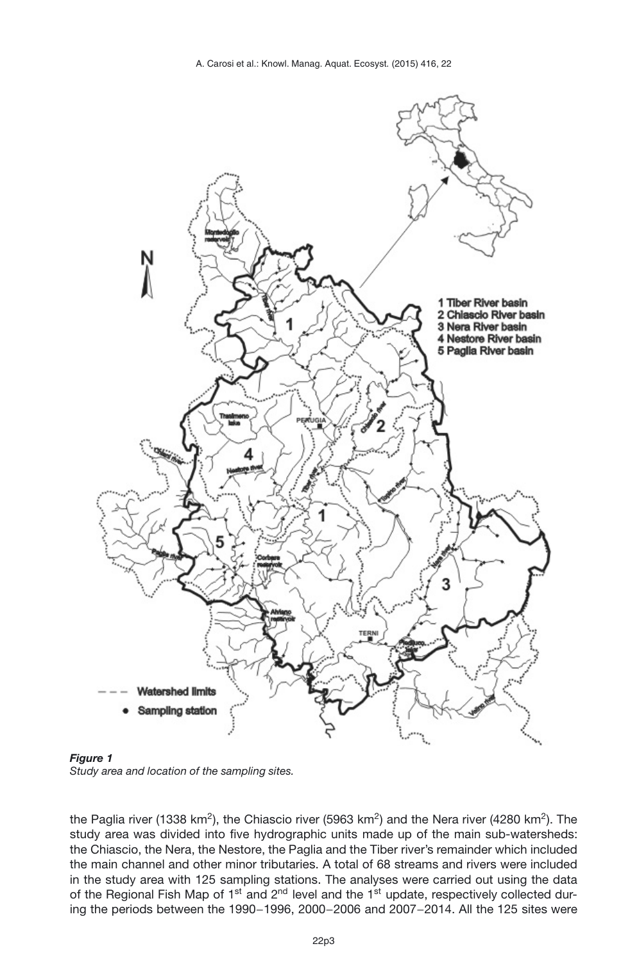

<span id="page-2-0"></span>*Figure 1*

*Study area and location of the sampling sites.*

the Paglia river (1338 km<sup>2</sup>), the Chiascio river (5963 km<sup>2</sup>) and the Nera river (4280 km<sup>2</sup>). The study area was divided into five hydrographic units made up of the main sub-watersheds: the Chiascio, the Nera, the Nestore, the Paglia and the Tiber river's remainder which included the main channel and other minor tributaries. A total of 68 streams and rivers were included in the study area with 125 sampling stations. The analyses were carried out using the data of the Regional Fish Map of 1<sup>st</sup> and 2<sup>nd</sup> level and the 1<sup>st</sup> update, respectively collected during the periods between the 1990−1996, 2000−2006 and 2007−2014. All the 125 sites were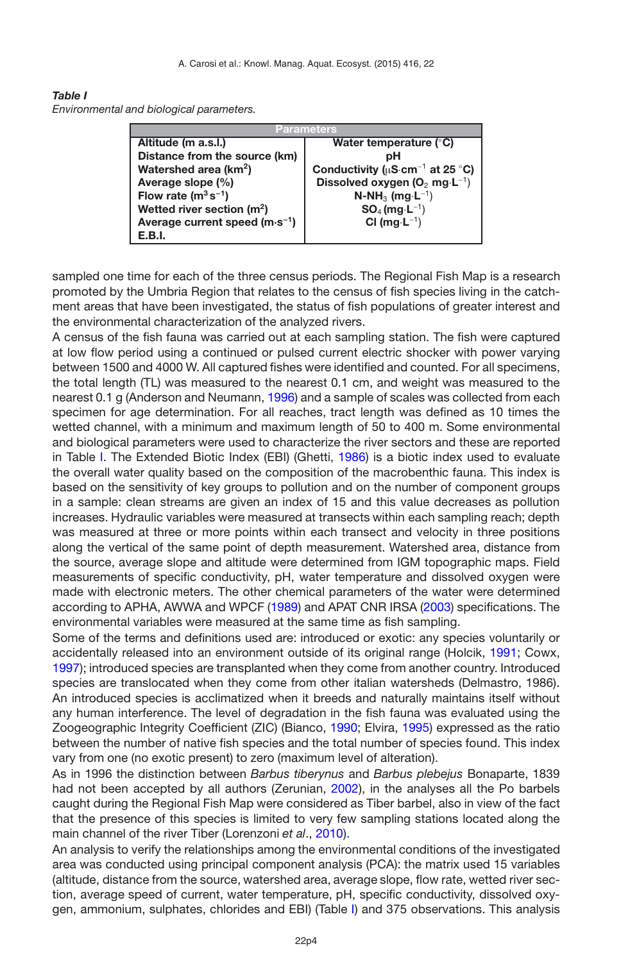#### <span id="page-3-0"></span>*Table I*

*Environmental and biological parameters.*

| Parameters                               |                                                   |  |  |  |
|------------------------------------------|---------------------------------------------------|--|--|--|
| Altitude (m a.s.l.)                      | Water temperature $(°C)$                          |  |  |  |
| Distance from the source (km)            | pН                                                |  |  |  |
| Watershed area (km <sup>2</sup> )        | Conductivity ( $\mu$ S·cm <sup>-1</sup> at 25 °C) |  |  |  |
| Average slope (%)                        | Dissolved oxygen $(O_2 \text{ mg} \cdot L^{-1})$  |  |  |  |
| Flow rate $(m^3 s^{-1})$                 | $N-NH_3$ (mg·L <sup>-1</sup> )                    |  |  |  |
| Wetted river section $(m2)$              | $SO_4$ (mg $\cdot L^{-1}$ )                       |  |  |  |
| Average current speed $(m \cdot s^{-1})$ | $Cl$ (mg $·L^{-1}$ )                              |  |  |  |
| E.B.I.                                   |                                                   |  |  |  |

sampled one time for each of the three census periods. The Regional Fish Map is a research promoted by the Umbria Region that relates to the census of fish species living in the catchment areas that have been investigated, the status of fish populations of greater interest and the environmental characterization of the analyzed rivers.

A census of the fish fauna was carried out at each sampling station. The fish were captured at low flow period using a continued or pulsed current electric shocker with power varying between 1500 and 4000 W. All captured fishes were identified and counted. For all specimens, the total length (TL) was measured to the nearest 0.1 cm, and weight was measured to the nearest 0.1 g (Anderson and Neumann, [1996\)](#page-13-0) and a sample of scales was collected from each specimen for age determination. For all reaches, tract length was defined as 10 times the wetted channel, with a minimum and maximum length of 50 to 400 m. Some environmental and biological parameters were used to characterize the river sectors and these are reported in Table [I.](#page-3-0) The Extended Biotic Index (EBI) (Ghetti, [1986](#page-14-7)) is a biotic index used to evaluate the overall water quality based on the composition of the macrobenthic fauna. This index is based on the sensitivity of key groups to pollution and on the number of component groups in a sample: clean streams are given an index of 15 and this value decreases as pollution increases. Hydraulic variables were measured at transects within each sampling reach; depth was measured at three or more points within each transect and velocity in three positions along the vertical of the same point of depth measurement. Watershed area, distance from the source, average slope and altitude were determined from IGM topographic maps. Field measurements of specific conductivity, pH, water temperature and dissolved oxygen were made with electronic meters. The other chemical parameters of the water were determined according to APHA, AWWA and WPCF [\(1989](#page-13-1)) and APAT CNR IRSA [\(2003](#page-13-2)) specifications. The environmental variables were measured at the same time as fish sampling.

Some of the terms and definitions used are: introduced or exotic: any species voluntarily or accidentally released into an environment outside of its original range (Holcik, [1991;](#page-14-8) Cowx, [1997\)](#page-14-9); introduced species are transplanted when they come from another country. Introduced species are translocated when they come from other italian watersheds (Delmastro, 1986). An introduced species is acclimatized when it breeds and naturally maintains itself without any human interference. The level of degradation in the fish fauna was evaluated using the Zoogeographic Integrity Coefficient (ZIC) (Bianco, [1990;](#page-13-3) Elvira, [1995\)](#page-14-10) expressed as the ratio between the number of native fish species and the total number of species found. This index vary from one (no exotic present) to zero (maximum level of alteration).

As in 1996 the distinction between *Barbus tiberynus* and *Barbus plebejus* Bonaparte, 1839 had not been accepted by all authors (Zerunian, [2002](#page-15-4)), in the analyses all the Po barbels caught during the Regional Fish Map were considered as Tiber barbel, also in view of the fact that the presence of this species is limited to very few sampling stations located along the main channel of the river Tiber (Lorenzoni *et al*., [2010](#page-14-11)).

An analysis to verify the relationships among the environmental conditions of the investigated area was conducted using principal component analysis (PCA): the matrix used 15 variables (altitude, distance from the source, watershed area, average slope, flow rate, wetted river section, average speed of current, water temperature, pH, specific conductivity, dissolved oxygen, ammonium, sulphates, chlorides and EBI) (Table [I\)](#page-3-0) and 375 observations. This analysis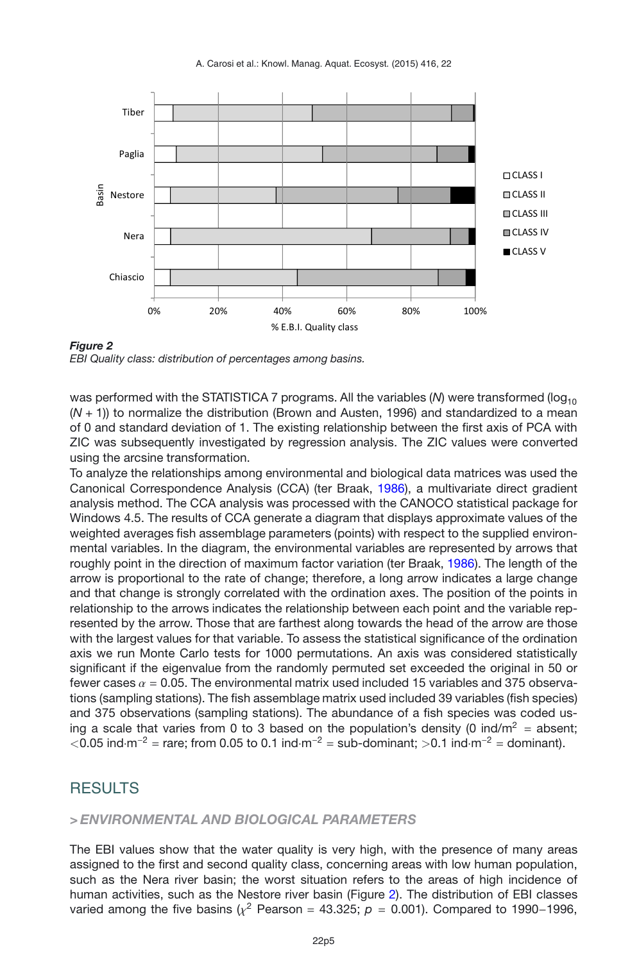<span id="page-4-0"></span>A. Carosi et al.: Knowl. Manag. Aquat. Ecosyst. (2015) 416, 22



*EBI Quality class: distribution of percentages among basins.*

was performed with the STATISTICA 7 programs. All the variables  $(N)$  were transformed ( $log<sub>10</sub>$ (*N* + 1)) to normalize the distribution (Brown and Austen, 1996) and standardized to a mean of 0 and standard deviation of 1. The existing relationship between the first axis of PCA with ZIC was subsequently investigated by regression analysis. The ZIC values were converted using the arcsine transformation.

To analyze the relationships among environmental and biological data matrices was used the Canonical Correspondence Analysis (CCA) (ter Braak, [1986\)](#page-15-5), a multivariate direct gradient analysis method. The CCA analysis was processed with the CANOCO statistical package for Windows 4.5. The results of CCA generate a diagram that displays approximate values of the weighted averages fish assemblage parameters (points) with respect to the supplied environmental variables. In the diagram, the environmental variables are represented by arrows that roughly point in the direction of maximum factor variation (ter Braak, [1986](#page-15-5)). The length of the arrow is proportional to the rate of change; therefore, a long arrow indicates a large change and that change is strongly correlated with the ordination axes. The position of the points in relationship to the arrows indicates the relationship between each point and the variable represented by the arrow. Those that are farthest along towards the head of the arrow are those with the largest values for that variable. To assess the statistical significance of the ordination axis we run Monte Carlo tests for 1000 permutations. An axis was considered statistically significant if the eigenvalue from the randomly permuted set exceeded the original in 50 or fewer cases  $\alpha$  = 0.05. The environmental matrix used included 15 variables and 375 observations (sampling stations). The fish assemblage matrix used included 39 variables (fish species) and 375 observations (sampling stations). The abundance of a fish species was coded using a scale that varies from 0 to 3 based on the population's density (0 ind/m<sup>2</sup> = absent;  $\langle$ 0.05 ind·m<sup>-2</sup> = rare; from 0.05 to 0.1 ind·m<sup>-2</sup> = sub-dominant; >0.1 ind·m<sup>-2</sup> = dominant).

### RESULTS

### *> ENVIRONMENTAL AND BIOLOGICAL PARAMETERS*

The EBI values show that the water quality is very high, with the presence of many areas assigned to the first and second quality class, concerning areas with low human population, such as the Nera river basin; the worst situation refers to the areas of high incidence of human activities, such as the Nestore river basin (Figure [2\)](#page-4-0). The distribution of EBI classes varied among the five basins ( $\chi^2$  Pearson = 43.325; *p* = 0.001). Compared to 1990–1996,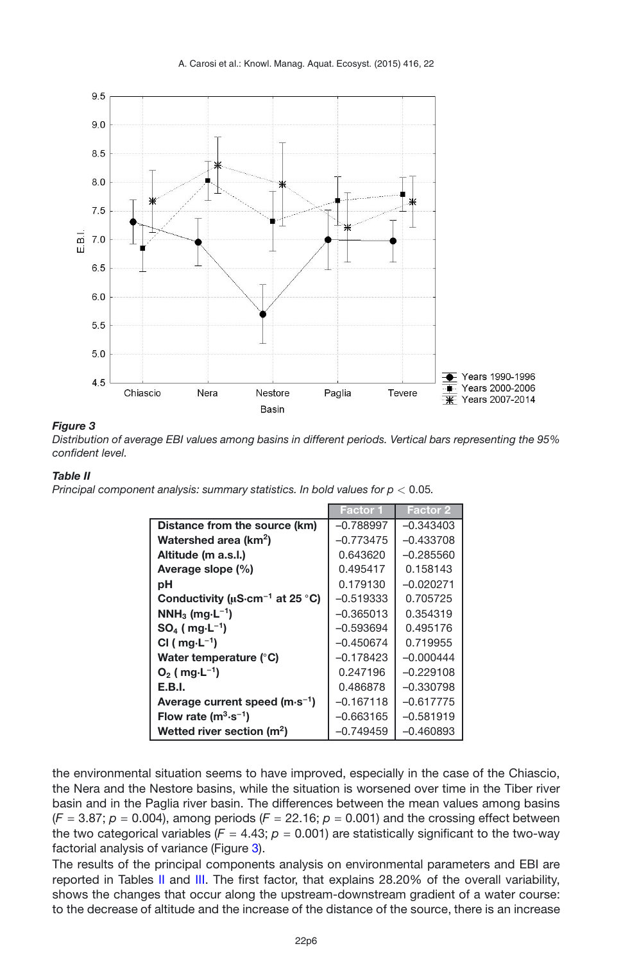<span id="page-5-0"></span>

*Distribution of average EBI values among basins in different periods. Vertical bars representing the 95% confident level.*

### <span id="page-5-1"></span>*Table II*

*Principal component analysis: summary statistics. In bold values for p <* 0.05*.*

|                                                   | Factor 1    | <b>Factor 2</b> |
|---------------------------------------------------|-------------|-----------------|
| Distance from the source (km)                     | $-0.788997$ | $-0.343403$     |
| Watershed area (km <sup>2</sup> )                 | $-0.773475$ | $-0.433708$     |
| Altitude (m a.s.l.)                               | 0.643620    | $-0.285560$     |
| Average slope (%)                                 | 0.495417    | 0.158143        |
| рH                                                | 0.179130    | $-0.020271$     |
| Conductivity ( $\mu$ S·cm <sup>-1</sup> at 25 °C) | $-0.519333$ | 0.705725        |
| $NNH_3$ (mg $\cdot L^{-1}$ )                      | $-0.365013$ | 0.354319        |
| $SO_4$ (mg $\cdot L^{-1}$ )                       | $-0.593694$ | 0.495176        |
| CI ( $mg \cdot L^{-1}$ )                          | $-0.450674$ | 0.719955        |
| Water temperature (°C)                            | $-0.178423$ | $-0.000444$     |
| $O_2$ ( mg $\cdot$ L <sup>-1</sup> )              | 0.247196    | $-0.229108$     |
| E.B.I.                                            | 0.486878    | $-0.330798$     |
| Average current speed $(m \cdot s^{-1})$          | $-0.167118$ | $-0.617775$     |
| Flow rate $(m^3 \cdot s^{-1})$                    | $-0.663165$ | -0.581919       |
| Wetted river section $(m2)$                       | $-0.749459$ | $-0.460893$     |

the environmental situation seems to have improved, especially in the case of the Chiascio, the Nera and the Nestore basins, while the situation is worsened over time in the Tiber river basin and in the Paglia river basin. The differences between the mean values among basins  $(F = 3.87; p = 0.004)$ , among periods  $(F = 22.16; p = 0.001)$  and the crossing effect between the two categorical variables ( $F = 4.43$ ;  $p = 0.001$ ) are statistically significant to the two-way factorial analysis of variance (Figure [3\)](#page-5-0).

The results of the principal components analysis on environmental parameters and EBI are reported in Tables [II](#page-5-1) and [III.](#page-6-0) The first factor, that explains 28.20% of the overall variability, shows the changes that occur along the upstream-downstream gradient of a water course: to the decrease of altitude and the increase of the distance of the source, there is an increase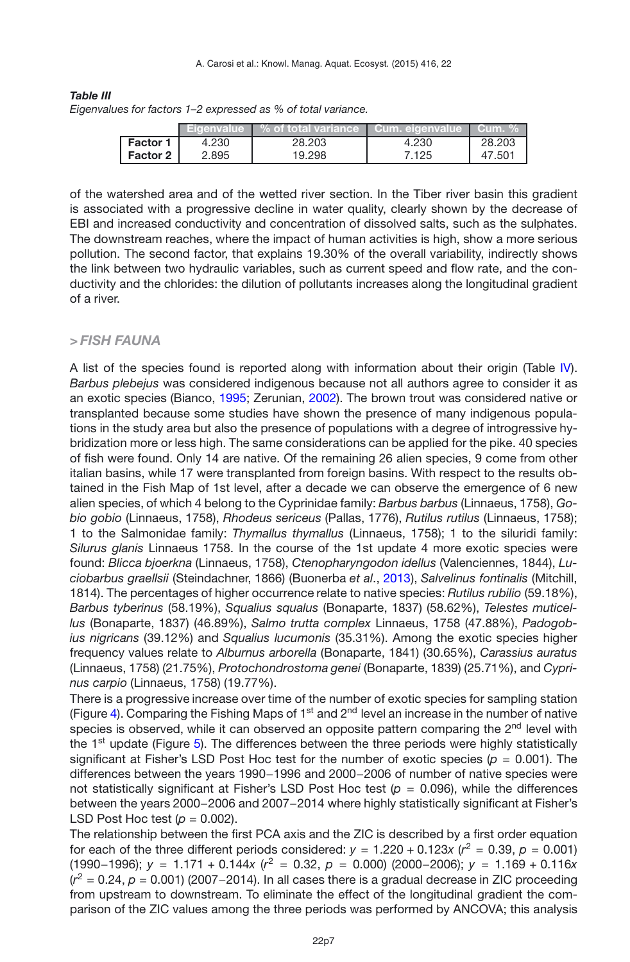<span id="page-6-0"></span>*Table III Eigenvalues for factors 1–2 expressed as % of total variance.*

|                 | <b>Eigenvalue</b> ' | $\%$ of total variance $\ $ | Cum. eigenvalue | Cum. % |
|-----------------|---------------------|-----------------------------|-----------------|--------|
| <b>Factor 1</b> | 4.230               | 28.203                      | 4.230           | 28,203 |
| Factor 2        | 2.895               | 19.298                      | 7.125           | 47.501 |

of the watershed area and of the wetted river section. In the Tiber river basin this gradient is associated with a progressive decline in water quality, clearly shown by the decrease of EBI and increased conductivity and concentration of dissolved salts, such as the sulphates. The downstream reaches, where the impact of human activities is high, show a more serious pollution. The second factor, that explains 19.30% of the overall variability, indirectly shows the link between two hydraulic variables, such as current speed and flow rate, and the conductivity and the chlorides: the dilution of pollutants increases along the longitudinal gradient of a river.

### *> FISH FAUNA*

A list of the species found is reported along with information about their origin (Table [IV\)](#page-7-0). *Barbus plebejus* was considered indigenous because not all authors agree to consider it as an exotic species (Bianco, [1995;](#page-14-12) Zerunian, [2002](#page-15-4)). The brown trout was considered native or transplanted because some studies have shown the presence of many indigenous populations in the study area but also the presence of populations with a degree of introgressive hybridization more or less high. The same considerations can be applied for the pike. 40 species of fish were found. Only 14 are native. Of the remaining 26 alien species, 9 come from other italian basins, while 17 were transplanted from foreign basins. With respect to the results obtained in the Fish Map of 1st level, after a decade we can observe the emergence of 6 new alien species, of which 4 belong to the Cyprinidae family: *Barbus barbus* (Linnaeus, 1758), *Gobio gobio* (Linnaeus, 1758), *Rhodeus sericeus* (Pallas, 1776), *Rutilus rutilus* (Linnaeus, 1758); 1 to the Salmonidae family: *Thymallus thymallus* (Linnaeus, 1758); 1 to the siluridi family: *Silurus glanis* Linnaeus 1758. In the course of the 1st update 4 more exotic species were found: *Blicca bjoerkna* (Linnaeus, 1758), *Ctenopharyngodon idellus* (Valenciennes, 1844), *Luciobarbus graellsii* (Steindachner, 1866) (Buonerba *et al*., [2013\)](#page-14-13), *Salvelinus fontinalis* (Mitchill, 1814). The percentages of higher occurrence relate to native species: *Rutilus rubilio* (59.18%), *Barbus tyberinus* (58.19%), *Squalius squalus* (Bonaparte, 1837) (58.62%), *Telestes muticellus* (Bonaparte, 1837) (46.89%), *Salmo trutta complex* Linnaeus, 1758 (47.88%), *Padogobius nigricans* (39.12%) and *Squalius lucumonis* (35.31%). Among the exotic species higher frequency values relate to *Alburnus arborella* (Bonaparte, 1841) (30.65%), *Carassius auratus* (Linnaeus, 1758) (21.75%), *Protochondrostoma genei* (Bonaparte, 1839) (25.71%), and *Cyprinus carpio* (Linnaeus, 1758) (19.77%).

There is a progressive increase over time of the number of exotic species for sampling station (Figure [4\)](#page-8-0). Comparing the Fishing Maps of  $1<sup>st</sup>$  and  $2<sup>nd</sup>$  level an increase in the number of native species is observed, while it can observed an opposite pattern comparing the 2<sup>nd</sup> level with the  $1<sup>st</sup>$  update (Figure [5\)](#page-8-1). The differences between the three periods were highly statistically significant at Fisher's LSD Post Hoc test for the number of exotic species ( $p = 0.001$ ). The differences between the years 1990−1996 and 2000−2006 of number of native species were not statistically significant at Fisher's LSD Post Hoc test (*p* = 0.096), while the differences between the years 2000−2006 and 2007−2014 where highly statistically significant at Fisher's LSD Post Hoc test  $(p = 0.002)$ .

The relationship between the first PCA axis and the ZIC is described by a first order equation for each of the three different periods considered:  $y = 1.220 + 0.123x$  ( $r^2 = 0.39$ ,  $p = 0.001$ ) (1990−1996); *<sup>y</sup>* <sup>=</sup> 1.171 + 0.144*<sup>x</sup>* (*r*<sup>2</sup> <sup>=</sup> 0.32, *<sup>p</sup>* <sup>=</sup> 0.000) (2000−2006); *<sup>y</sup>* <sup>=</sup> 1.169 + 0.116*<sup>x</sup>* (*r*<sup>2</sup> <sup>=</sup> 0.24, *<sup>p</sup>* <sup>=</sup> 0.001) (2007−2014). In all cases there is a gradual decrease in ZIC proceeding from upstream to downstream. To eliminate the effect of the longitudinal gradient the comparison of the ZIC values among the three periods was performed by ANCOVA; this analysis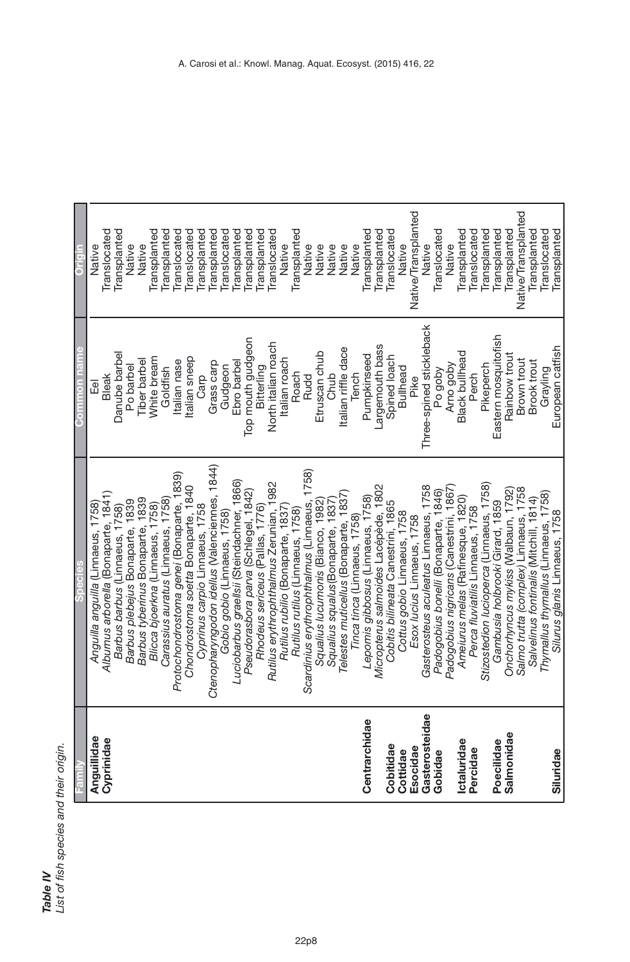<span id="page-7-0"></span>

| $\frac{1}{2}$<br>Ī |
|--------------------|
|                    |
| š                  |
| ă                  |
|                    |
|                    |

|                | Selbec                                                                          | P<br>i el l<br>mon       |                     |
|----------------|---------------------------------------------------------------------------------|--------------------------|---------------------|
| Anguillidae    | Anguilla anguilla (Linnaeus, 1758)                                              | $\overline{e}$           | Native              |
| Cyprinidae     | Alburnus arborella (Bonaparte, 1841)                                            | <b>Bleak</b>             | Translocated        |
|                | Barbus barbus (Linnaeus, 1758)                                                  | Danube barbel            | Transplanted        |
|                | Barbus plebejus Bonaparte, 1839                                                 | Po barbel                | Native              |
|                | Barbus tyberinus Bonaparte, 1839                                                | <b>Tiber</b> barbel      | Native              |
|                | Blicca bjoerkna (Linnaeus, 1758)                                                | White bream              | Transplanted        |
|                | Carassius auratus (Linnaeus, 1758)                                              | Goldfish                 | Transplanted        |
|                | Protochondrostoma genei (Bonaparte, 1839)                                       | talian nase              | <b>Translocated</b> |
|                | Chondrostoma soetta Bonaparte, 1840                                             | Italian sneep            | <b>Translocated</b> |
|                | Cyprinus carpio Linnaeus, 1758                                                  | Carp                     | Transplanted        |
|                | Ctenopharyngodon idellus (Valenciennes, 1844)                                   | Grass carp               | Transplanted        |
|                | Gobio gobio (Linnaeus, 1758)                                                    | Gudgeon                  | Translocated        |
|                | Luciobarbus graellsii (Steindachner, 1866)                                      | Ebro barbel              | Transplanted        |
|                | Pseudorasbora parva (Schlegel, 1842)<br><i>Rhodeus sericeus (Pallas, 1776</i> ) | Top mouth gudgeon        | Transplanted        |
|                |                                                                                 | Bitterling               | Transplanted        |
|                | Rutilus erythrophthalmus Zerunian, 1982                                         | North italian roach      | Translocated        |
|                | Rutilus rubilio (Bonaparte, 1837)                                               | Italian roach            | Native              |
|                | Rutilus rutilus (Linnaeus, 1758)                                                | Roach                    | Transplanted        |
|                | Scardinius erythrophthalmus (Linnaeus, 1758)                                    | <b>Rudd</b>              | Native              |
|                | Squalius Iucumonis (Bianco, 1982)                                               | Etruscan chub            | Native              |
|                | Squalius squalus(Bonaparte, 1837)                                               | Chub                     | Native              |
|                | Telestes muticellus (Bonaparte, 1837)                                           | Italian riffle dace      | Native              |
|                | Tinca tinca (Linnaeus, 1758)                                                    | Tench                    | Native              |
| Centrarchidae  | Lepomis gibbosus (Linnaeus, 1758)                                               | Pumpkinseed              | Transplanted        |
|                | Micropterus salmoides Lacépède, 1802                                            | Largemouth bass          | Transplanted        |
| Cobitidae      | Cobitis bilineata Canestrini, 1865                                              | Spined loach             | Translocated        |
| Cottidae       | Cottus gobio Linnaeus, 1758                                                     | <b>Bullhead</b>          | Native              |
| Esocidae       | Esox /ucius Linnaeus, 1758                                                      | Pike                     | Native/Transplanted |
| Gasterosteidae | Gasterosteus aculeatus Linnaeus, 1758                                           | Three-spined stickleback | Native              |
| Gobidae        | Padogobius bonelli (Bonaparte, 1846)                                            | Po goby                  | Translocated        |
|                | Padogobius nigricans (Canestrini, 1867)                                         | Arno goby                | Native              |
| Ictaluridae    | Ameiurus melas (Rafinesque, 1820)                                               | <b>Black bullhead</b>    | Transplanted        |
| Percidae       | Perca fluviatilis Linnaeus, 1758                                                | Perch                    | Translocated        |
|                | Stizostedion lucioperca (Linnaeus, 1758)                                        | Pikeperch                | Transplanted        |
| Poecilidae     | Gambusia holbrooki Girard, 1859                                                 | Eastern mosquitofish     | Transplanted        |
| Salmonidae     | Onchorhyncus mykiss (Walbaun, 1792)                                             | Rainbow trout            | Transplanted        |
|                | Salmo trutta (complex) Linnaeus, 1758                                           | <b>Brown</b> trout       | Native/Transplanted |
|                | Salvelinus fontinalis (Mitchill, 1814)                                          | <b>Brook</b> trout       | Transplanted        |
|                | Thymallus thymallus (Linnaeus, 1758)                                            | Grayling                 | Translocated        |
| Siluridae      | Silurus glanis Linnaeus, 1758                                                   | European catfish         | Transplanted        |
|                |                                                                                 |                          |                     |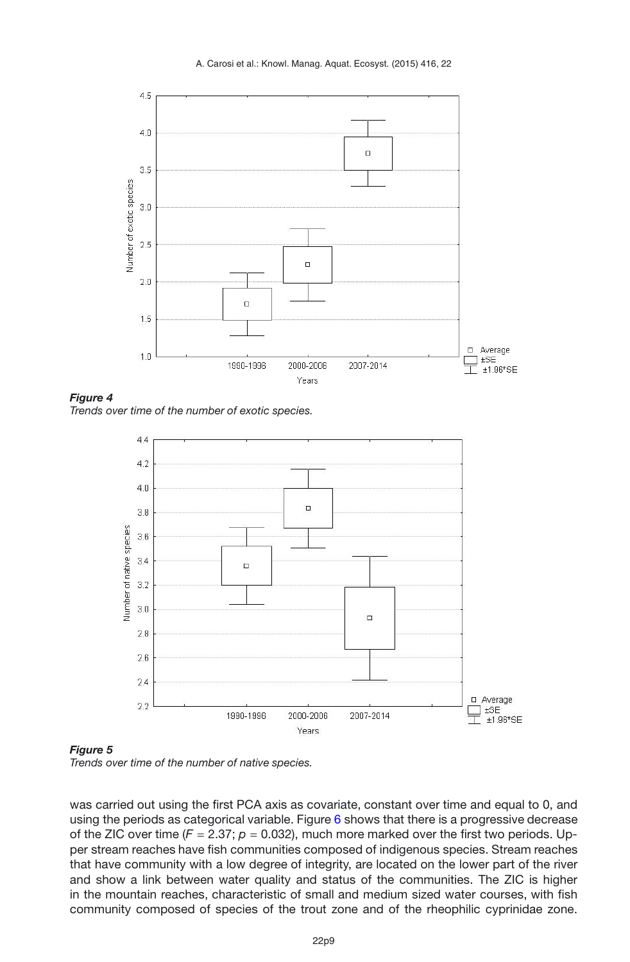<span id="page-8-0"></span>

*Figure 4 Trends over time of the number of exotic species.*

<span id="page-8-1"></span>

*Trends over time of the number of native species.*

was carried out using the first PCA axis as covariate, constant over time and equal to 0, and using the periods as categorical variable. Figure [6](#page-9-0) shows that there is a progressive decrease of the ZIC over time  $(F = 2.37; p = 0.032)$ , much more marked over the first two periods. Upper stream reaches have fish communities composed of indigenous species. Stream reaches that have community with a low degree of integrity, are located on the lower part of the river and show a link between water quality and status of the communities. The ZIC is higher in the mountain reaches, characteristic of small and medium sized water courses, with fish community composed of species of the trout zone and of the rheophilic cyprinidae zone.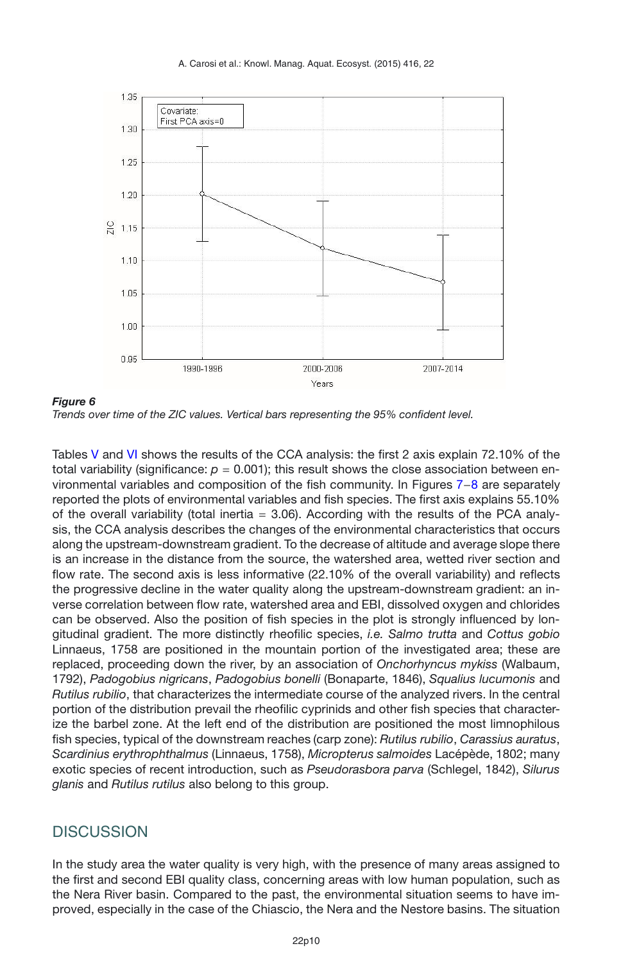<span id="page-9-0"></span>

*Figure 6 Trends over time of the ZIC values. Vertical bars representing the 95% confident level.*

Tables [V](#page-10-0) and [VI](#page-10-1) shows the results of the CCA analysis: the first 2 axis explain 72.10% of the total variability (significance:  $p = 0.001$ ); this result shows the close association between environmental variables and composition of the fish community. In Figures [7](#page-11-0)−[8](#page-11-1) are separately reported the plots of environmental variables and fish species. The first axis explains 55.10% of the overall variability (total inertia  $= 3.06$ ). According with the results of the PCA analysis, the CCA analysis describes the changes of the environmental characteristics that occurs along the upstream-downstream gradient. To the decrease of altitude and average slope there is an increase in the distance from the source, the watershed area, wetted river section and flow rate. The second axis is less informative (22.10% of the overall variability) and reflects the progressive decline in the water quality along the upstream-downstream gradient: an inverse correlation between flow rate, watershed area and EBI, dissolved oxygen and chlorides can be observed. Also the position of fish species in the plot is strongly influenced by longitudinal gradient. The more distinctly rheofilic species, *i.e. Salmo trutta* and *Cottus gobio* Linnaeus, 1758 are positioned in the mountain portion of the investigated area; these are replaced, proceeding down the river, by an association of *Onchorhyncus mykiss* (Walbaum, 1792), *Padogobius nigricans*, *Padogobius bonelli* (Bonaparte, 1846), *Squalius lucumonis* and *Rutilus rubilio*, that characterizes the intermediate course of the analyzed rivers. In the central portion of the distribution prevail the rheofilic cyprinids and other fish species that characterize the barbel zone. At the left end of the distribution are positioned the most limnophilous fish species, typical of the downstream reaches (carp zone): *Rutilus rubilio*, *Carassius auratus*, *Scardinius erythrophthalmus* (Linnaeus, 1758), *Micropterus salmoides* Lacépède, 1802; many exotic species of recent introduction, such as *Pseudorasbora parva* (Schlegel, 1842), *Silurus glanis* and *Rutilus rutilus* also belong to this group.

## **DISCUSSION**

In the study area the water quality is very high, with the presence of many areas assigned to the first and second EBI quality class, concerning areas with low human population, such as the Nera River basin. Compared to the past, the environmental situation seems to have improved, especially in the case of the Chiascio, the Nera and the Nestore basins. The situation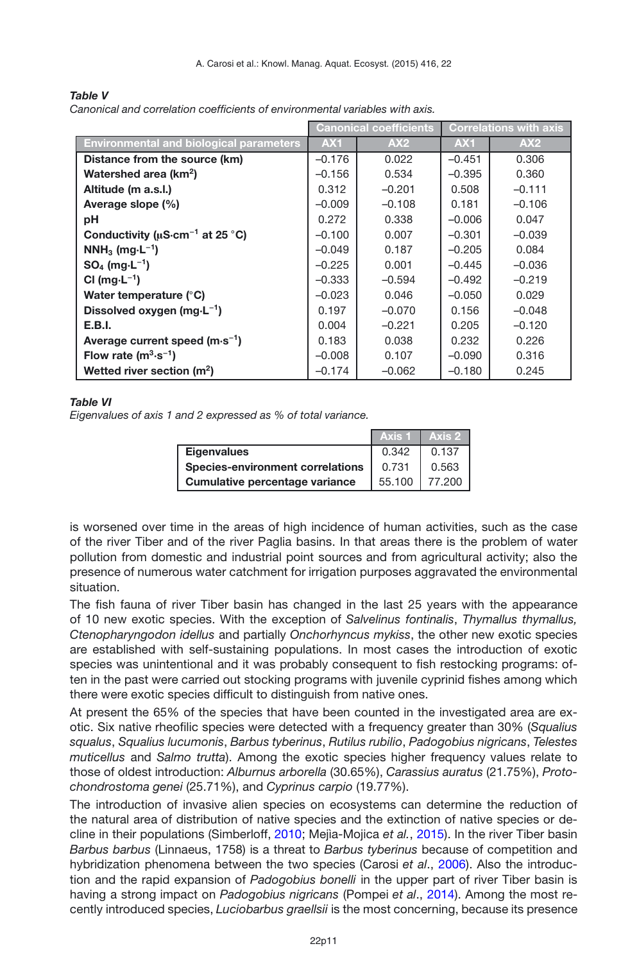|                                                   | <b>Canonical coefficients</b> |          | <b>Correlations with axis</b> |          |
|---------------------------------------------------|-------------------------------|----------|-------------------------------|----------|
| <b>Environmental and biological parameters</b>    | AX <sub>1</sub>               | AX2      | AX <sub>1</sub>               | AX2      |
| Distance from the source (km)                     | $-0.176$                      | 0.022    | $-0.451$                      | 0.306    |
| Watershed area (km <sup>2</sup> )                 | $-0.156$                      | 0.534    | $-0.395$                      | 0.360    |
| Altitude (m a.s.l.)                               | 0.312                         | $-0.201$ | 0.508                         | $-0.111$ |
| Average slope (%)                                 | $-0.009$                      | $-0.108$ | 0.181                         | $-0.106$ |
| рH                                                | 0.272                         | 0.338    | $-0.006$                      | 0.047    |
| Conductivity ( $\mu$ S·cm <sup>-1</sup> at 25 °C) | $-0.100$                      | 0.007    | $-0.301$                      | $-0.039$ |
| $NNH_3$ (mg $-L^{-1}$ )                           | $-0.049$                      | 0.187    | $-0.205$                      | 0.084    |
| $SO_4$ (mg $\cdot L^{-1}$ )                       | $-0.225$                      | 0.001    | $-0.445$                      | $-0.036$ |
| CI ( $mq \cdot L^{-1}$ )                          | $-0.333$                      | $-0.594$ | $-0.492$                      | $-0.219$ |
| Water temperature (°C)                            | $-0.023$                      | 0.046    | $-0.050$                      | 0.029    |
| Dissolved oxygen (mg $-L^{-1}$ )                  | 0.197                         | $-0.070$ | 0.156                         | $-0.048$ |
| <b>E.B.I.</b>                                     | 0.004                         | $-0.221$ | 0.205                         | $-0.120$ |
| Average current speed $(m \cdot s^{-1})$          | 0.183                         | 0.038    | 0.232                         | 0.226    |
| Flow rate $(m^3 \cdot s^{-1})$                    | $-0.008$                      | 0.107    | $-0.090$                      | 0.316    |
| Wetted river section $(m2)$                       | $-0.174$                      | $-0.062$ | $-0.180$                      | 0.245    |

#### <span id="page-10-0"></span>*Table V Canonical and correlation coefficients of environmental variables with axis.*

#### <span id="page-10-1"></span>*Table VI*

*Eigenvalues of axis 1 and 2 expressed as % of total variance.*

|                                         |        | Axis 1 I Axis 2 I |
|-----------------------------------------|--------|-------------------|
| <b>Eigenvalues</b>                      | 0.342  | 0.137             |
| <b>Species-environment correlations</b> | 0.731  | 0.563             |
| Cumulative percentage variance          | 55.100 | 77.200 l          |

is worsened over time in the areas of high incidence of human activities, such as the case of the river Tiber and of the river Paglia basins. In that areas there is the problem of water pollution from domestic and industrial point sources and from agricultural activity; also the presence of numerous water catchment for irrigation purposes aggravated the environmental situation.

The fish fauna of river Tiber basin has changed in the last 25 years with the appearance of 10 new exotic species. With the exception of *Salvelinus fontinalis*, *Thymallus thymallus, Ctenopharyngodon idellus* and partially *Onchorhyncus mykiss*, the other new exotic species are established with self-sustaining populations. In most cases the introduction of exotic species was unintentional and it was probably consequent to fish restocking programs: often in the past were carried out stocking programs with juvenile cyprinid fishes among which there were exotic species difficult to distinguish from native ones.

At present the 65% of the species that have been counted in the investigated area are exotic. Six native rheofilic species were detected with a frequency greater than 30% (*Squalius squalus*, *Squalius lucumonis*, *Barbus tyberinus*, *Rutilus rubilio*, *Padogobius nigricans*, *Telestes muticellus* and *Salmo trutta*). Among the exotic species higher frequency values relate to those of oldest introduction: *Alburnus arborella* (30.65%), *Carassius auratus* (21.75%), *Protochondrostoma genei* (25.71%), and *Cyprinus carpio* (19.77%).

The introduction of invasive alien species on ecosystems can determine the reduction of the natural area of distribution of native species and the extinction of native species or decline in their populations (Simberloff, [2010](#page-15-2); Mejìa-Mojica *et al.*, [2015\)](#page-14-3). In the river Tiber basin *Barbus barbus* (Linnaeus, 1758) is a threat to *Barbus tyberinus* because of competition and hybridization phenomena between the two species (Carosi *et al*., [2006](#page-14-14)). Also the introduction and the rapid expansion of *Padogobius bonelli* in the upper part of river Tiber basin is having a strong impact on *Padogobius nigricans* (Pompei *et al*., [2014](#page-15-6)). Among the most recently introduced species, *Luciobarbus graellsii* is the most concerning, because its presence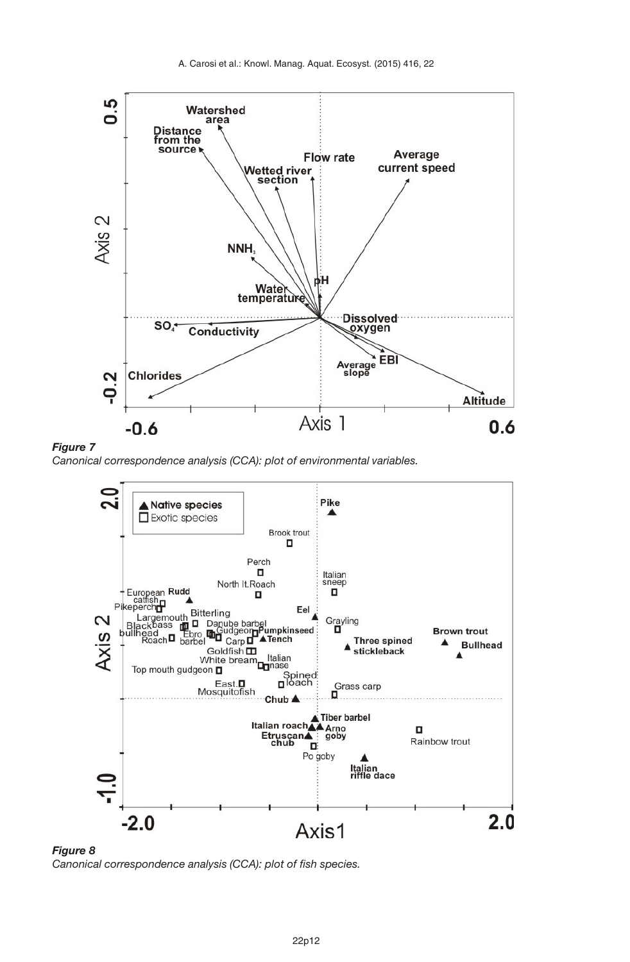<span id="page-11-0"></span>



*Canonical correspondence analysis (CCA): plot of environmental variables.*

<span id="page-11-1"></span>

*Figure 8 Canonical correspondence analysis (CCA): plot of fish species.*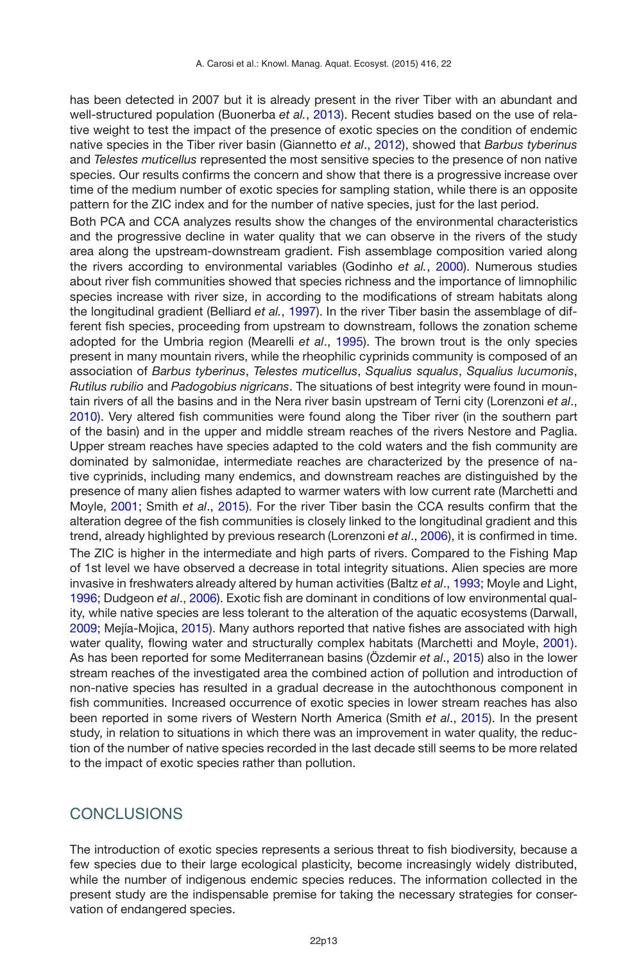has been detected in 2007 but it is already present in the river Tiber with an abundant and well-structured population (Buonerba *et al.*, [2013](#page-14-13)). Recent studies based on the use of relative weight to test the impact of the presence of exotic species on the condition of endemic native species in the Tiber river basin (Giannetto *et al*., [2012\)](#page-14-6), showed that *Barbus tyberinus* and *Telestes muticellus* represented the most sensitive species to the presence of non native species. Our results confirms the concern and show that there is a progressive increase over time of the medium number of exotic species for sampling station, while there is an opposite pattern for the ZIC index and for the number of native species, just for the last period.

Both PCA and CCA analyzes results show the changes of the environmental characteristics and the progressive decline in water quality that we can observe in the rivers of the study area along the upstream-downstream gradient. Fish assemblage composition varied along the rivers according to environmental variables (Godinho *et al.*, [2000](#page-14-15)). Numerous studies about river fish communities showed that species richness and the importance of limnophilic species increase with river size, in according to the modifications of stream habitats along the longitudinal gradient (Belliard *et al.*, [1997](#page-13-4)). In the river Tiber basin the assemblage of different fish species, proceeding from upstream to downstream, follows the zonation scheme adopted for the Umbria region (Mearelli *et al*., [1995](#page-14-16)). The brown trout is the only species present in many mountain rivers, while the rheophilic cyprinids community is composed of an association of *Barbus tyberinus*, *Telestes muticellus*, *Squalius squalus*, *Squalius lucumonis*, *Rutilus rubilio* and *Padogobius nigricans*. The situations of best integrity were found in mountain rivers of all the basins and in the Nera river basin upstream of Terni city (Lorenzoni *et al*., [2010\)](#page-14-11). Very altered fish communities were found along the Tiber river (in the southern part of the basin) and in the upper and middle stream reaches of the rivers Nestore and Paglia. Upper stream reaches have species adapted to the cold waters and the fish community are dominated by salmonidae, intermediate reaches are characterized by the presence of native cyprinids, including many endemics, and downstream reaches are distinguished by the presence of many alien fishes adapted to warmer waters with low current rate (Marchetti and Moyle, [2001](#page-14-17); Smith *et al*., [2015\)](#page-15-3). For the river Tiber basin the CCA results confirm that the alteration degree of the fish communities is closely linked to the longitudinal gradient and this trend, already highlighted by previous research (Lorenzoni *et al*., [2006\)](#page-14-5), it is confirmed in time. The ZIC is higher in the intermediate and high parts of rivers. Compared to the Fishing Map of 1st level we have observed a decrease in total integrity situations. Alien species are more invasive in freshwaters already altered by human activities (Baltz *et al*., [1993](#page-13-5); Moyle and Light, [1996;](#page-14-18) Dudgeon *et al*., [2006\)](#page-14-19). Exotic fish are dominant in conditions of low environmental quality, while native species are less tolerant to the alteration of the aquatic ecosystems (Darwall, [2009;](#page-14-20) Mejía-Mojica, [2015](#page-14-3)). Many authors reported that native fishes are associated with high water quality, flowing water and structurally complex habitats (Marchetti and Moyle, [2001](#page-14-17)). As has been reported for some Mediterranean basins (Özdemir *et al*., [2015](#page-15-7)) also in the lower stream reaches of the investigated area the combined action of pollution and introduction of non-native species has resulted in a gradual decrease in the autochthonous component in fish communities. Increased occurrence of exotic species in lower stream reaches has also been reported in some rivers of Western North America (Smith *et al*., [2015\)](#page-15-3). In the present study, in relation to situations in which there was an improvement in water quality, the reduction of the number of native species recorded in the last decade still seems to be more related to the impact of exotic species rather than pollution.

### **CONCLUSIONS**

The introduction of exotic species represents a serious threat to fish biodiversity, because a few species due to their large ecological plasticity, become increasingly widely distributed, while the number of indigenous endemic species reduces. The information collected in the present study are the indispensable premise for taking the necessary strategies for conservation of endangered species.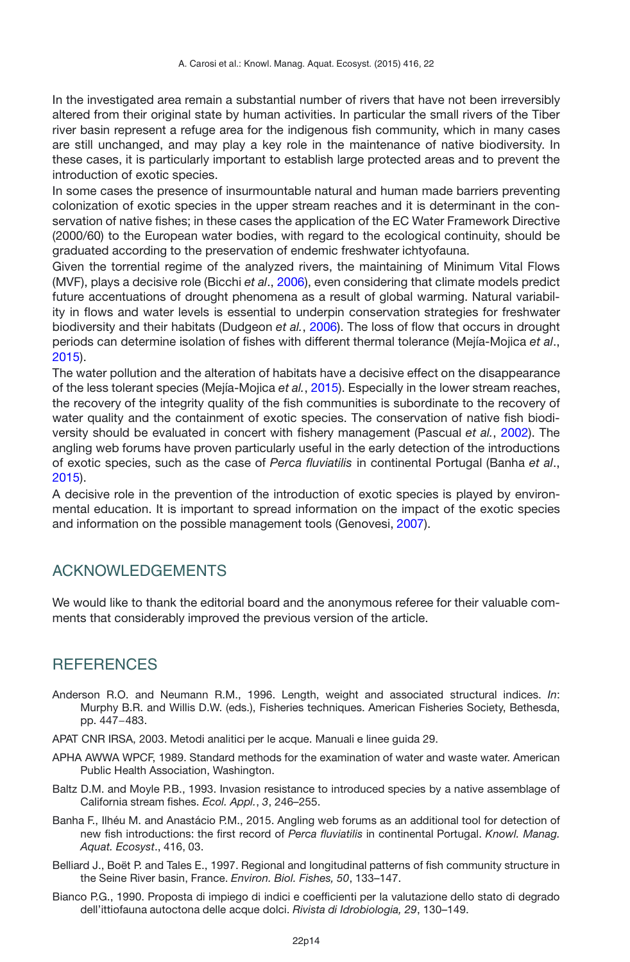In the investigated area remain a substantial number of rivers that have not been irreversibly altered from their original state by human activities. In particular the small rivers of the Tiber river basin represent a refuge area for the indigenous fish community, which in many cases are still unchanged, and may play a key role in the maintenance of native biodiversity. In these cases, it is particularly important to establish large protected areas and to prevent the introduction of exotic species.

In some cases the presence of insurmountable natural and human made barriers preventing colonization of exotic species in the upper stream reaches and it is determinant in the conservation of native fishes; in these cases the application of the EC Water Framework Directive (2000/60) to the European water bodies, with regard to the ecological continuity, should be graduated according to the preservation of endemic freshwater ichtyofauna.

Given the torrential regime of the analyzed rivers, the maintaining of Minimum Vital Flows (MVF), plays a decisive role (Bicchi *et al*., [2006\)](#page-14-21), even considering that climate models predict future accentuations of drought phenomena as a result of global warming. Natural variability in flows and water levels is essential to underpin conservation strategies for freshwater biodiversity and their habitats (Dudgeon *et al.*, [2006\)](#page-14-19). The loss of flow that occurs in drought periods can determine isolation of fishes with different thermal tolerance (Mejía-Mojica *et al*., [2015\)](#page-14-3).

The water pollution and the alteration of habitats have a decisive effect on the disappearance of the less tolerant species (Mejía-Mojica *et al.*, [2015](#page-14-3)). Especially in the lower stream reaches, the recovery of the integrity quality of the fish communities is subordinate to the recovery of water quality and the containment of exotic species. The conservation of native fish biodiversity should be evaluated in concert with fishery management (Pascual *et al.*, [2002](#page-15-8)). The angling web forums have proven particularly useful in the early detection of the introductions of exotic species, such as the case of *Perca fluviatilis* in continental Portugal (Banha *et al*., [2015\)](#page-13-6).

A decisive role in the prevention of the introduction of exotic species is played by environmental education. It is important to spread information on the impact of the exotic species and information on the possible management tools (Genovesi, [2007](#page-14-22)).

## ACKNOWLEDGEMENTS

We would like to thank the editorial board and the anonymous referee for their valuable comments that considerably improved the previous version of the article.

## **REFERENCES**

- <span id="page-13-0"></span>Anderson R.O. and Neumann R.M., 1996. Length, weight and associated structural indices. *In*: Murphy B.R. and Willis D.W. (eds.), Fisheries techniques. American Fisheries Society, Bethesda, pp. 447−483.
- <span id="page-13-2"></span>APAT CNR IRSA, 2003. Metodi analitici per le acque. Manuali e linee guida 29.
- <span id="page-13-1"></span>APHA AWWA WPCF, 1989. Standard methods for the examination of water and waste water. American Public Health Association, Washington.
- <span id="page-13-5"></span>Baltz D.M. and Moyle P.B., 1993. Invasion resistance to introduced species by a native assemblage of California stream fishes. *Ecol. Appl.*, *3*, 246–255.
- <span id="page-13-6"></span>Banha F., Ilhéu M. and Anastácio P.M., 2015. Angling web forums as an additional tool for detection of new fish introductions: the first record of *Perca fluviatilis* in continental Portugal. *Knowl. Manag. Aquat. Ecosyst*., 416, 03.
- <span id="page-13-4"></span>Belliard J., Boët P. and Tales E., 1997. Regional and longitudinal patterns of fish community structure in the Seine River basin, France. *Environ. Biol. Fishes, 50*, 133–147.
- <span id="page-13-3"></span>Bianco P.G., 1990. Proposta di impiego di indici e coefficienti per la valutazione dello stato di degrado dell'ittiofauna autoctona delle acque dolci. *Rivista di Idrobiologia, 29*, 130–149.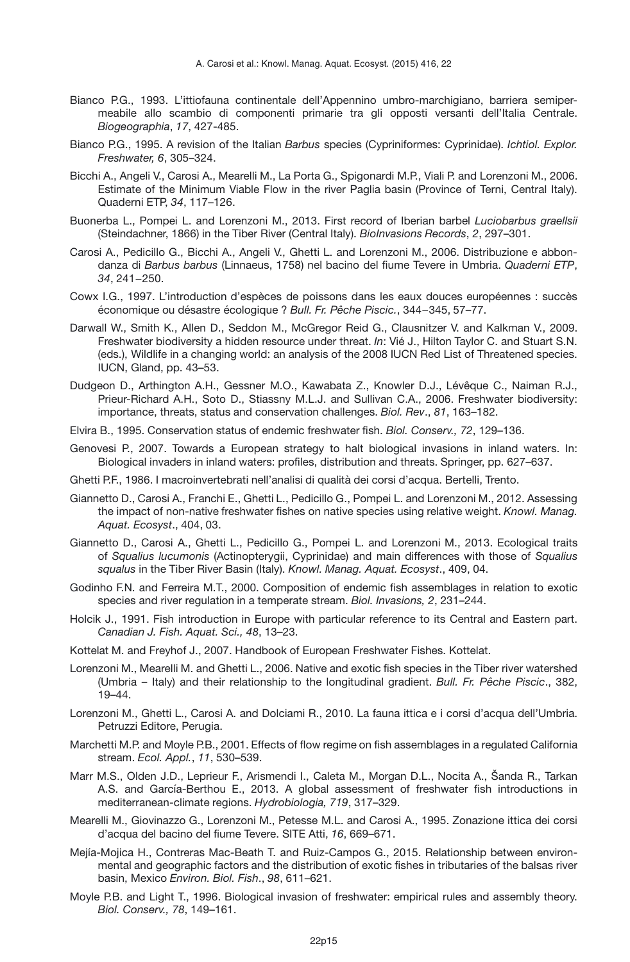- <span id="page-14-1"></span>Bianco P.G., 1993. L'ittiofauna continentale dell'Appennino umbro-marchigiano, barriera semipermeabile allo scambio di componenti primarie tra gli opposti versanti dell'Italia Centrale. *Biogeographia*, *17*, 427-485.
- <span id="page-14-12"></span>Bianco P.G., 1995. A revision of the Italian *Barbus* species (Cypriniformes: Cyprinidae). *Ichtiol. Explor. Freshwater, 6*, 305–324.
- <span id="page-14-21"></span>Bicchi A., Angeli V., Carosi A., Mearelli M., La Porta G., Spigonardi M.P., Viali P. and Lorenzoni M., 2006. Estimate of the Minimum Viable Flow in the river Paglia basin (Province of Terni, Central Italy). Quaderni ETP, *34*, 117–126.
- <span id="page-14-13"></span>Buonerba L., Pompei L. and Lorenzoni M., 2013. First record of Iberian barbel *Luciobarbus graellsii* (Steindachner, 1866) in the Tiber River (Central Italy). *BioInvasions Records*, *2*, 297–301.
- <span id="page-14-14"></span>Carosi A., Pedicillo G., Bicchi A., Angeli V., Ghetti L. and Lorenzoni M., 2006. Distribuzione e abbondanza di *Barbus barbus* (Linnaeus, 1758) nel bacino del fiume Tevere in Umbria. *Quaderni ETP*, *34*, 241−250.
- <span id="page-14-9"></span>Cowx I.G., 1997. L'introduction d'espèces de poissons dans les eaux douces européennes : succès économique ou désastre écologique ? *Bull. Fr. Pêche Piscic.*, 344−345, 57–77.
- <span id="page-14-20"></span>Darwall W., Smith K., Allen D., Seddon M., McGregor Reid G., Clausnitzer V. and Kalkman V., 2009. Freshwater biodiversity a hidden resource under threat. *In*: Vié J., Hilton Taylor C. and Stuart S.N. (eds.), Wildlife in a changing world: an analysis of the 2008 IUCN Red List of Threatened species. IUCN, Gland, pp. 43–53.
- <span id="page-14-19"></span>Dudgeon D., Arthington A.H., Gessner M.O., Kawabata Z., Knowler D.J., Lévêque C., Naiman R.J., Prieur-Richard A.H., Soto D., Stiassny M.L.J. and Sullivan C.A., 2006. Freshwater biodiversity: importance, threats, status and conservation challenges. *Biol. Rev*., *81*, 163–182.
- <span id="page-14-10"></span>Elvira B., 1995. Conservation status of endemic freshwater fish. *Biol. Conserv., 72*, 129–136.
- <span id="page-14-22"></span>Genovesi P., 2007. Towards a European strategy to halt biological invasions in inland waters. In: Biological invaders in inland waters: profiles, distribution and threats. Springer, pp. 627–637.
- <span id="page-14-7"></span>Ghetti P.F., 1986. I macroinvertebrati nell'analisi di qualità dei corsi d'acqua. Bertelli, Trento.
- <span id="page-14-6"></span>Giannetto D., Carosi A., Franchi E., Ghetti L., Pedicillo G., Pompei L. and Lorenzoni M., 2012. Assessing the impact of non-native freshwater fishes on native species using relative weight. *Knowl. Manag. Aquat. Ecosyst*., 404, 03.
- <span id="page-14-2"></span>Giannetto D., Carosi A., Ghetti L., Pedicillo G., Pompei L. and Lorenzoni M., 2013. Ecological traits of *Squalius lucumonis* (Actinopterygii, Cyprinidae) and main differences with those of *Squalius squalus* in the Tiber River Basin (Italy). *Knowl. Manag. Aquat. Ecosyst*., 409, 04.
- <span id="page-14-15"></span>Godinho F.N. and Ferreira M.T., 2000. Composition of endemic fish assemblages in relation to exotic species and river regulation in a temperate stream. *Biol. Invasions, 2*, 231–244.
- <span id="page-14-8"></span>Holcik J., 1991. Fish introduction in Europe with particular reference to its Central and Eastern part. *Canadian J. Fish. Aquat. Sci., 48*, 13–23.
- <span id="page-14-0"></span>Kottelat M. and Freyhof J., 2007. Handbook of European Freshwater Fishes. Kottelat.
- <span id="page-14-5"></span>Lorenzoni M., Mearelli M. and Ghetti L., 2006. Native and exotic fish species in the Tiber river watershed (Umbria – Italy) and their relationship to the longitudinal gradient. *Bull. Fr. Pêche Piscic*., 382, 19–44.
- <span id="page-14-11"></span>Lorenzoni M., Ghetti L., Carosi A. and Dolciami R., 2010. La fauna ittica e i corsi d'acqua dell'Umbria. Petruzzi Editore, Perugia.
- <span id="page-14-17"></span>Marchetti M.P. and Moyle P.B., 2001. Effects of flow regime on fish assemblages in a regulated California stream. *Ecol. Appl.*, *11*, 530–539.
- <span id="page-14-4"></span>Marr M.S., Olden J.D., Leprieur F., Arismendi I., Caleta M., Morgan D.L., Nocita A., Šanda R., Tarkan A.S. and García-Berthou E., 2013. A global assessment of freshwater fish introductions in mediterranean-climate regions. *Hydrobiologia, 719*, 317–329.
- <span id="page-14-16"></span>Mearelli M., Giovinazzo G., Lorenzoni M., Petesse M.L. and Carosi A., 1995. Zonazione ittica dei corsi d'acqua del bacino del fiume Tevere. SITE Atti, *16*, 669–671.
- <span id="page-14-3"></span>Mejía-Mojica H., Contreras Mac-Beath T. and Ruiz-Campos G., 2015. Relationship between environmental and geographic factors and the distribution of exotic fishes in tributaries of the balsas river basin, Mexico *Environ. Biol. Fish*., *98*, 611–621.
- <span id="page-14-18"></span>Moyle P.B. and Light T., 1996. Biological invasion of freshwater: empirical rules and assembly theory. *Biol. Conserv., 78*, 149–161.